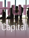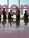As competition and demand for skilled workers increases among Gulf countries, how will Qatar fare in the looming regional battle for talent?

By **Matthew Lewis**

**Human**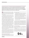During the economic crisis – and with the awarding of the 2022 FIFA World Cup – the appeal of Qatar for global job seekers rose, just as projects and jobs elsewhere in the Gulf began to disappear. But as business confidence is now back in countries such the United Arab Emirates, demand for human capital is returning. Will this spur a regional recruitment war, asks **Matthew Lewis**, and if so how will Qatar attract and retain much needed talent?

regionally, nobody doubts that Qatar has the vision, will power and financial and political clout to deliver on its ambitions.<br>However, one part of the equation less discussed is how will Qatar attract. recruit, retain, ho and financial and political clout to deliver on its ambitions. However, one part of the equation less discussed is how will Qatar attract, recruit, retain, house and school the significant numbers and requisite calibre of highly talented people required to deliver on that vision.

An added dimension of complexity is that many of the soonto-be-booming sectors in Qatar require expertise that was not previously needed. Excellence in sports, medicine, education, food security and transportation infrastructure are not arenas that the Gulf has previously excelled in or developed local talent in.

Moreover, the traditional sectors of the economy such as hydrocarbons, security, trade and government do not nearly develop the requisite specialist knowledge and expertise in the numbers that the future Qatar economy will depend on. In addition to this mismatch, the numbers of graduates from both domestic and international universities will arguably not enter the market fast enough or at a senior enough level to impact on the country's development plans, as per its National Vision 2030 and beyond.

But there may be one issue that is key above all others: Qatar's neighbours. Attracting specialist skills and experience into the Qatari economy is an already formidable challenge that could be compounded by a resurgent broader Gulf market economy, driving demand for human resources again in other expanding markets, such as Saudi Arabia and the United Arab Emirates (UAE).

A great example is the railways sector. Not since colonial times has there been a regional need for expertise in what is essentially – despite advances in technology – arguably now a traditional industry, and a shrinking sector for many decades in developed countries. Most of these economies have long built their rail infrastructure, and the expertise in this respect historically was located in the Europe or North America.

Now major economies in the Gulf require this critical infrastructure. The expertise that used to exist in abundance is in short supply and thus is in high demand and at high cost. A similar scenario can be said to exist in healthcare and education, as well as food security and production, which are all just coming to the fore regionally. Securing the right people in sufficient numbers at the right time for Qatar in all of these sectors will be dependent on Qatar's ability to attract talent ahead of neighbouring Gulf states.

### **What are expatriates looking for?**

What do expatriates consider when making a commitment to move to the other side of the world? Tax-free salaries are common across the Gulf, so there is no competitive edge there to be gained for

Qatar. Very often it is the other elements of a job offer or location that can make the difference:

- The availability, quality and affordability of accommodation is a key consideration and a lack of supply in the Qatari market is compounding already inflated prices. This can put pressure on housing allowances and could make Qatar less attractive.
- The availability and cost of high-quality education is another concern. School places are already in short supply and a long waiting list the norm. This may discourage families from moving, meaning they may take a shorter-term view on Qatar.
- The cost and overall standard of living is a major factor, especially when someone maybe moving to the region for the first time. Qatar scores highly on quality of life, but perhaps less so on cost of living, recreational facilities and things to do, both for single people and families.

According to Qatar Statistics Authority's data for 2012, Qataris form only six percent of the country's total employed population of 1,341,193. This is compared to 1,258,380 expatriates who fill the remaining 94 percent of the job pool. So while Qatar has managed to avoid any boom and bust cycles, a tiny Qatari population, with around 80,000 in employment, means that Qatar could need more than 500,000 professionals, workers and consultants over the coming years to ensure a successful 2022 World Cup and create the diversified economy and thriving nation it is striving to become.

#### **Lessons to be learned**

When it comes to rapid development - and emerging challenges, failures and success and parallels – Dubai in the UAE is the obvious example of a nearby location from where real lessons can be learned for Qatar.

Dubai grew dramatically and explosively from 2004 to late 2008. In 2007, at the peak of its rise, 15,000 professionals were moving into Dubai from all over the world every month for more than a year. Thus the UAE faced major labour and people issues. The city-state had to rapidly revise and revamp its labour law from 1982 and adapt and react to allow a free market economy for



*Of the employed workers in Qatar are expatriates.*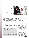# **Attracting specialist skills and experience into the Qatari economy is**  an already formidable challenge compounded by<br>regional competition.



 $regional constant$  competition.  $\frac{Q^{data}}{1000}$  and  $\frac{Q^{data}}{1000}$  and  $\frac{Q^{data}}{1000}$  and  $\frac{Q^{data}}{1000}$  and  $\frac{Q^{total}}{1000}$  and  $\frac{Q^{total}}{1000}$  and  $\frac{Q^{total}}{1000}$  and  $\frac{Q^{total}}{1000}$  and  $\frac{Q^{total}}{1000}$  and  $\frac{Q^{total}}{1000}$  and  $\$ 

its most critically needed and fluid resource - human capital. Until 2007, a sixmonth ban on people changing jobs still existed.

However, the establishment of free zones effectively made this ruling largely redundant, so it was dropped. This allowed people in the country to move much more freely and choose where and whom to work for. It forced employers to work harder and smarter to attract and retain staff. Human resources (HR) became a 'strategic function' and top-level talent and human capital were traded in with a reference akin to gold and pearls.

This was not necessarily a bad thing for those being recruited, though it had a detrimental impact overall. Salaries rose rapidly, as did property prices and inflation moved into double digits. Newcomers and existing staff in Dubai began expecting and demanding 20 percent annual pay rises to move or stay, and they got it, and more. Greed took over and hiring became ruthless and mercenary.

Senior executives around the globe were promised amazing career opportunities in companies and projects that a year earlier did not even exist. For all of the good intentions, and good hires, some mistakes were made, much money was wasted – and Dubai also attracted some dubious people best rather forgotten. What it did mean for Dubai though, is that the vision that was promised and planned largely was delivered.

#### **Tips for HR managers and employers**

- Understand the career and personal needs of your current and potential employees.
- Look to retain staff for the right reasons and not out of fear of not being able to find other employment.
- Ensure that current staff have personal development plans, regular appraisals and are being developed to their highest potential.
- Pay, benefits and long-term incentive plans are all critical but equally important is someone's ability to develop their careers and commit to Qatar for the long term.
- When hiring from outside the country, be honest and transparent about current regional and local labour laws and practices, and paint a realistic picture about earning potential, cost and living standards.

Despite the global financial crisis, or in fact due to it, many expatriates decided to make Dubai their permanent home and take a long-term view by purchasing property, setting up businesses and schooling their children, many of whom will ostensibly grow up to remain in the only home they have ever known.

#### **What next for Qatar?**

If inward immigration at Doha airport is a measure of economic prosperity, it is boom time already. Tellingly, numerous flights into Doha on a Sunday morning and leaving on Thursday are packed with suitcase bankers, consultants and commuting workers and the traffic continues to worsen. This would suggest that the demand for the skills and expertise required in Qatar is not available in sufficient numbers within the country or indeed within the Gulf region.

However, Qatar also features many positives for for local recruiters:

- Major projects such as Hamad International Airport will assist with access into the country and allow Qatar Airways to expand at a pace and attract international employees.
- Qatar is developing a high-end tourism market with high quality hotels and restaurants on a par with the best in the world.
- The real estate sector is booming and has already attracted many gulf expatriates. The Pearl and the Lusail projects will become fantastic luxury developments in which to live.
- Local entities such as Qatar Airways and Qatar Foundation are fast becoming globally recognised brands and world-class organisations.
- Domestic development in culture, retail, sports, education and healthcare make Qatar a very